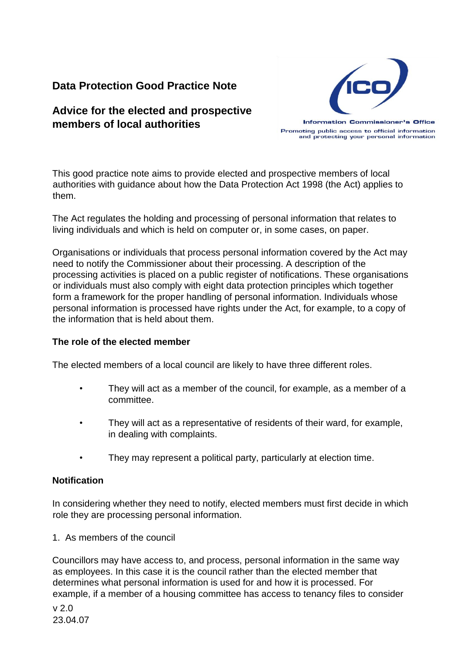# **Data Protection Good Practice Note**

# **Advice for the elected and prospective members of local authorities**



Promoting public access to official information and protecting your personal information

This good practice note aims to provide elected and prospective members of local authorities with guidance about how the Data Protection Act 1998 (the Act) applies to them.

The Act regulates the holding and processing of personal information that relates to living individuals and which is held on computer or, in some cases, on paper.

Organisations or individuals that process personal information covered by the Act may need to notify the Commissioner about their processing. A description of the processing activities is placed on a public register of notifications. These organisations or individuals must also comply with eight data protection principles which together form a framework for the proper handling of personal information. Individuals whose personal information is processed have rights under the Act, for example, to a copy of the information that is held about them.

# **The role of the elected member**

The elected members of a local council are likely to have three different roles.

- They will act as a member of the council, for example, as a member of a committee.
- They will act as a representative of residents of their ward, for example, in dealing with complaints.
- They may represent a political party, particularly at election time.

### **Notification**

In considering whether they need to notify, elected members must first decide in which role they are processing personal information.

1. As members of the council

Councillors may have access to, and process, personal information in the same way as employees. In this case it is the council rather than the elected member that determines what personal information is used for and how it is processed. For example, if a member of a housing committee has access to tenancy files to consider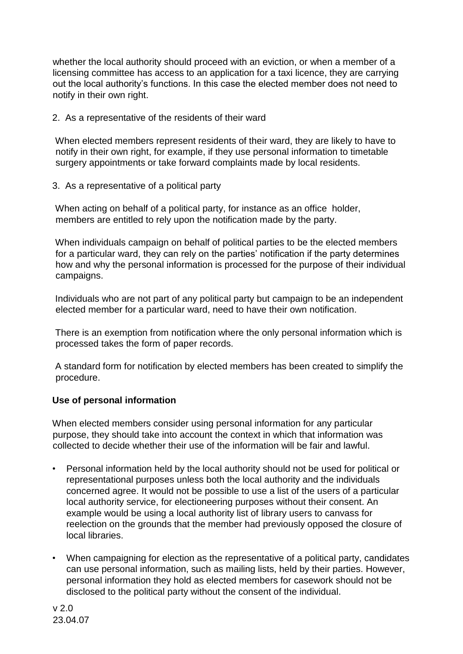whether the local authority should proceed with an eviction, or when a member of a licensing committee has access to an application for a taxi licence, they are carrying out the local authority's functions. In this case the elected member does not need to notify in their own right.

## 2. As a representative of the residents of their ward

When elected members represent residents of their ward, they are likely to have to notify in their own right, for example, if they use personal information to timetable surgery appointments or take forward complaints made by local residents.

3. As a representative of a political party

When acting on behalf of a political party, for instance as an office holder, members are entitled to rely upon the notification made by the party.

When individuals campaign on behalf of political parties to be the elected members for a particular ward, they can rely on the parties' notification if the party determines how and why the personal information is processed for the purpose of their individual campaigns.

Individuals who are not part of any political party but campaign to be an independent elected member for a particular ward, need to have their own notification.

There is an exemption from notification where the only personal information which is processed takes the form of paper records.

A standard form for notification by elected members has been created to simplify the procedure.

# **Use of personal information**

When elected members consider using personal information for any particular purpose, they should take into account the context in which that information was collected to decide whether their use of the information will be fair and lawful.

- Personal information held by the local authority should not be used for political or representational purposes unless both the local authority and the individuals concerned agree. It would not be possible to use a list of the users of a particular local authority service, for electioneering purposes without their consent. An example would be using a local authority list of library users to canvass for reelection on the grounds that the member had previously opposed the closure of local libraries.
- When campaigning for election as the representative of a political party, candidates can use personal information, such as mailing lists, held by their parties. However, personal information they hold as elected members for casework should not be disclosed to the political party without the consent of the individual.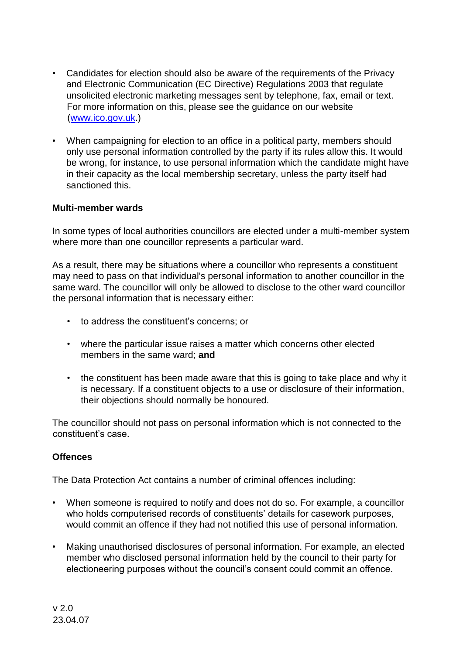- Candidates for election should also be aware of the requirements of the Privacy and Electronic Communication (EC Directive) Regulations 2003 that regulate unsolicited electronic marketing messages sent by telephone, fax, email or text. For more information on this, please see the guidance on our website (www.ico.gov.uk.)
- When campaigning for election to an office in a political party, members should only use personal information controlled by the party if its rules allow this. It would be wrong, for instance, to use personal information which the candidate might have in their capacity as the local membership secretary, unless the party itself had sanctioned this.

### **Multi-member wards**

In some types of local authorities councillors are elected under a multi-member system where more than one councillor represents a particular ward.

As a result, there may be situations where a councillor who represents a constituent may need to pass on that individual's personal information to another councillor in the same ward. The councillor will only be allowed to disclose to the other ward councillor the personal information that is necessary either:

- to address the constituent's concerns; or
- where the particular issue raises a matter which concerns other elected members in the same ward; **and**
- the constituent has been made aware that this is going to take place and why it is necessary. If a constituent objects to a use or disclosure of their information, their objections should normally be honoured.

The councillor should not pass on personal information which is not connected to the constituent's case.

### **Offences**

The Data Protection Act contains a number of criminal offences including:

- When someone is required to notify and does not do so. For example, a councillor who holds computerised records of constituents' details for casework purposes, would commit an offence if they had not notified this use of personal information.
- Making unauthorised disclosures of personal information. For example, an elected member who disclosed personal information held by the council to their party for electioneering purposes without the council's consent could commit an offence.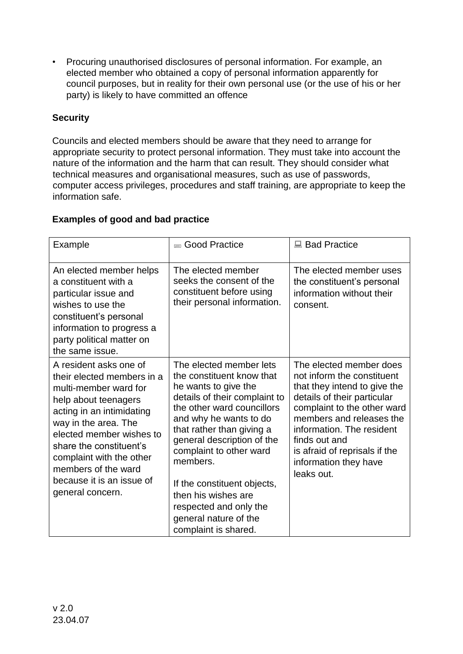• Procuring unauthorised disclosures of personal information. For example, an elected member who obtained a copy of personal information apparently for council purposes, but in reality for their own personal use (or the use of his or her party) is likely to have committed an offence

# **Security**

Councils and elected members should be aware that they need to arrange for appropriate security to protect personal information. They must take into account the nature of the information and the harm that can result. They should consider what technical measures and organisational measures, such as use of passwords, computer access privileges, procedures and staff training, are appropriate to keep the information safe.

# **Examples of good and bad practice**

| Example                                                                                                                                                                                                                                                                                                               | <b>■ Good Practice</b>                                                                                                                                                                                                                                                                                                                                                                                   | ■ Bad Practice                                                                                                                                                                                                                                                                                        |
|-----------------------------------------------------------------------------------------------------------------------------------------------------------------------------------------------------------------------------------------------------------------------------------------------------------------------|----------------------------------------------------------------------------------------------------------------------------------------------------------------------------------------------------------------------------------------------------------------------------------------------------------------------------------------------------------------------------------------------------------|-------------------------------------------------------------------------------------------------------------------------------------------------------------------------------------------------------------------------------------------------------------------------------------------------------|
| An elected member helps<br>a constituent with a<br>particular issue and<br>wishes to use the<br>constituent's personal<br>information to progress a<br>party political matter on<br>the same issue.                                                                                                                   | The elected member<br>seeks the consent of the<br>constituent before using<br>their personal information.                                                                                                                                                                                                                                                                                                | The elected member uses<br>the constituent's personal<br>information without their<br>consent.                                                                                                                                                                                                        |
| A resident asks one of<br>their elected members in a<br>multi-member ward for<br>help about teenagers<br>acting in an intimidating<br>way in the area. The<br>elected member wishes to<br>share the constituent's<br>complaint with the other<br>members of the ward<br>because it is an issue of<br>general concern. | The elected member lets<br>the constituent know that<br>he wants to give the<br>details of their complaint to<br>the other ward councillors<br>and why he wants to do<br>that rather than giving a<br>general description of the<br>complaint to other ward<br>members.<br>If the constituent objects,<br>then his wishes are<br>respected and only the<br>general nature of the<br>complaint is shared. | The elected member does<br>not inform the constituent<br>that they intend to give the<br>details of their particular<br>complaint to the other ward<br>members and releases the<br>information. The resident<br>finds out and<br>is afraid of reprisals if the<br>information they have<br>leaks out. |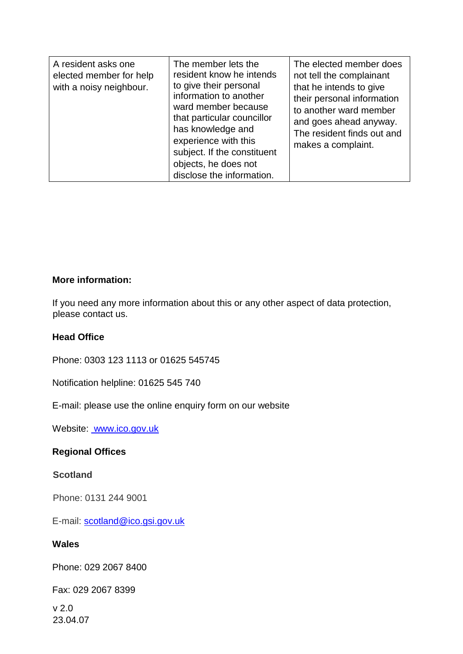| A resident asks one<br>elected member for help<br>with a noisy neighbour. | The member lets the<br>resident know he intends<br>to give their personal<br>information to another<br>ward member because<br>that particular councillor<br>has knowledge and<br>experience with this<br>subject. If the constituent<br>objects, he does not<br>disclose the information. | The elected member does<br>not tell the complainant<br>that he intends to give<br>their personal information<br>to another ward member<br>and goes ahead anyway.<br>The resident finds out and<br>makes a complaint. |
|---------------------------------------------------------------------------|-------------------------------------------------------------------------------------------------------------------------------------------------------------------------------------------------------------------------------------------------------------------------------------------|----------------------------------------------------------------------------------------------------------------------------------------------------------------------------------------------------------------------|
|---------------------------------------------------------------------------|-------------------------------------------------------------------------------------------------------------------------------------------------------------------------------------------------------------------------------------------------------------------------------------------|----------------------------------------------------------------------------------------------------------------------------------------------------------------------------------------------------------------------|

### **More information:**

If you need any more information about this or any other aspect of data protection, please contact us.

## **Head Office**

Phone: 0303 123 1113 or 01625 545745

Notification helpline: 01625 545 740

E-mail: please use the online enquiry form on our website

Website: www.ico.gov.uk

# **Regional Offices**

# **Scotland**

Phone: 0131 244 9001

E-mail: scotland@ico.gsi.gov.uk

### **Wales**

Phone: 029 2067 8400

Fax: 029 2067 8399

v 2.0 23.04.07